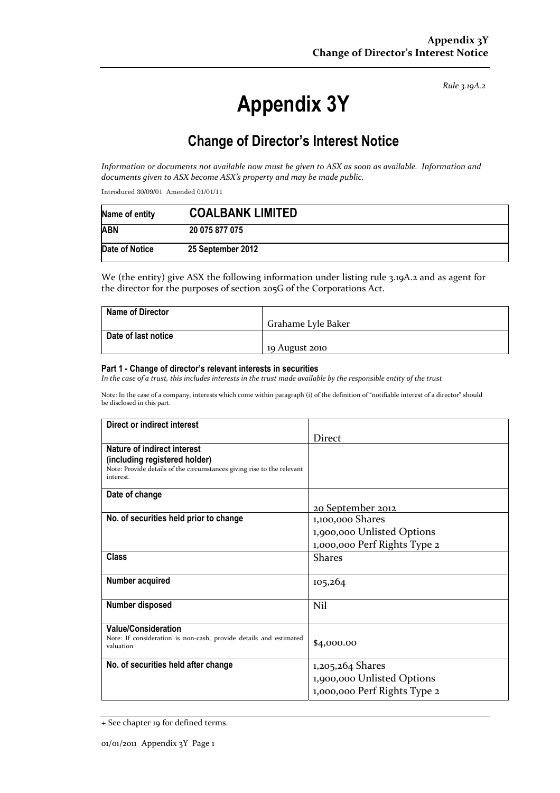*Rule 3.19A.2*

# **Appendix 3Y**

# **Change of Director's Interest Notice**

*Information or documents not available now must be given to ASX as soon as available. Information and documents given to ASX become ASX's property and may be made public.* 

Introduced 30/09/01 Amended 01/01/11

| Name of entity | <b>COALBANK LIMITED</b> |
|----------------|-------------------------|
| <b>ABN</b>     | 20 075 877 075          |
| Date of Notice | 25 September 2012       |

We (the entity) give ASX the following information under listing rule 3.19A.2 and as agent for the director for the purposes of section 205G of the Corporations Act.

| <b>Name of Director</b> |                    |
|-------------------------|--------------------|
|                         | Grahame Lyle Baker |
| Date of last notice     |                    |
|                         | 19 August 2010     |

#### **Part 1 - Change of director's relevant interests in securities**

*In the case of a trust, this includes interests in the trust made available by the responsible entity of the trust* 

Note: In the case of a company, interests which come within paragraph (i) of the definition of "notifiable interest of a director" should be disclosed in this part.

| Direct or indirect interest                                                                                                                         |                              |
|-----------------------------------------------------------------------------------------------------------------------------------------------------|------------------------------|
|                                                                                                                                                     | Direct                       |
| Nature of indirect interest<br>(including registered holder)<br>Note: Provide details of the circumstances giving rise to the relevant<br>interest. |                              |
| Date of change                                                                                                                                      |                              |
|                                                                                                                                                     | <u>20 September 2012</u>     |
| No. of securities held prior to change                                                                                                              | 1,100,000 Shares             |
|                                                                                                                                                     | 1,900,000 Unlisted Options   |
|                                                                                                                                                     | 1,000,000 Perf Rights Type 2 |
| <b>Class</b>                                                                                                                                        | <b>Shares</b>                |
| Number acquired                                                                                                                                     | 105,264                      |
| Number disposed                                                                                                                                     | Nil                          |
| <b>Value/Consideration</b><br>Note: If consideration is non-cash, provide details and estimated<br>valuation                                        | \$4,000.00                   |
| No. of securities held after change                                                                                                                 | 1,205,264 Shares             |
|                                                                                                                                                     | 1,900,000 Unlisted Options   |
|                                                                                                                                                     | 1,000,000 Perf Rights Type 2 |

<sup>+</sup> See chapter 19 for defined terms.